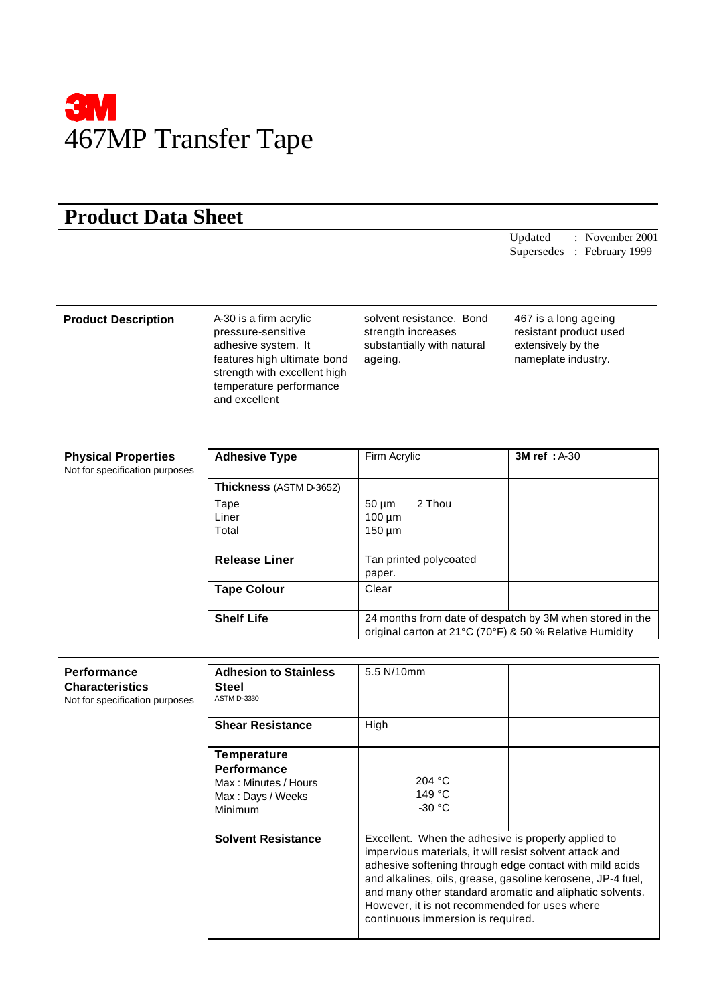

## **Product Data Sheet**

Updated : November 2001 Supersedes : February 1999

## **Product Description** A-30 is a firm acrylic

pressure-sensitive adhesive system. It features high ultimate bond strength with excellent high temperature performance and excellent

solvent resistance. Bond strength increases substantially with natural ageing.

467 is a long ageing resistant product used extensively by the nameplate industry.

| <b>Physical Properties</b><br>Not for specification purposes | <b>Adhesive Type</b>    | Firm Acrylic                                                                                                        | <b>3M ref</b> : A-30 |
|--------------------------------------------------------------|-------------------------|---------------------------------------------------------------------------------------------------------------------|----------------------|
|                                                              | Thickness (ASTM D-3652) |                                                                                                                     |                      |
|                                                              | Tape<br>Liner<br>Total  | 2 Thou<br>$50 \mu m$<br>$100 \mu m$<br>$150 \mu m$                                                                  |                      |
|                                                              | <b>Release Liner</b>    | Tan printed polycoated<br>paper.                                                                                    |                      |
|                                                              | <b>Tape Colour</b>      | Clear                                                                                                               |                      |
|                                                              | <b>Shelf Life</b>       | 24 months from date of despatch by 3M when stored in the<br>original carton at 21°C (70°F) & 50 % Relative Humidity |                      |

| Performance<br><b>Characteristics</b><br>Not for specification purposes | <b>Adhesion to Stainless</b><br>Steel<br><b>ASTM D-3330</b>                               | 5.5 N/10mm                                                                                                                                                                                                                                                                                                                                                                                |  |
|-------------------------------------------------------------------------|-------------------------------------------------------------------------------------------|-------------------------------------------------------------------------------------------------------------------------------------------------------------------------------------------------------------------------------------------------------------------------------------------------------------------------------------------------------------------------------------------|--|
|                                                                         | <b>Shear Resistance</b>                                                                   | High                                                                                                                                                                                                                                                                                                                                                                                      |  |
|                                                                         | Temperature<br><b>Performance</b><br>Max: Minutes / Hours<br>Max: Days / Weeks<br>Minimum | 204 °C<br>149 °C<br>$-30 °C$                                                                                                                                                                                                                                                                                                                                                              |  |
|                                                                         | <b>Solvent Resistance</b>                                                                 | Excellent. When the adhesive is properly applied to<br>impervious materials, it will resist solvent attack and<br>adhesive softening through edge contact with mild acids<br>and alkalines, oils, grease, gasoline kerosene, JP-4 fuel,<br>and many other standard aromatic and aliphatic solvents.<br>However, it is not recommended for uses where<br>continuous immersion is required. |  |